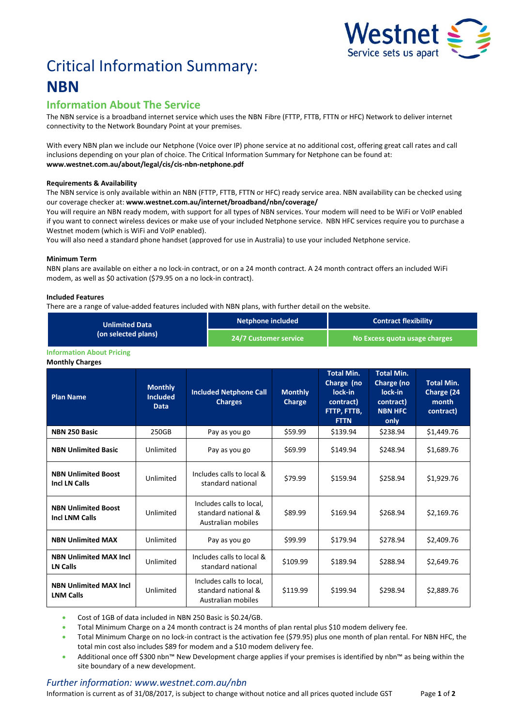

# Critical Information Summary: **NBN**

## **Information About The Service**

The NBN service is a broadband internet service which uses the NBNFibre (FTTP, FTTB, FTTN or HFC) Network to deliver internet connectivity to the Network Boundary Point at your premises.

With every NBN plan we include our Netphone (Voice over IP) phone service at no additional cost, offering great call rates and call inclusions depending on your plan of choice. The Critical Information Summary for Netphone can be found at: **www.westnet.com.au/about/legal/cis/cis-nbn-netphone.pdf**

#### **Requirements & Availability**

The NBN service is only available within an NBN (FTTP, FTTB, FTTN or HFC) ready service area. NBN availability can be checked using our coverage checker at: **www.westnet.com.au/internet/broadband/nbn/coverage/**

You will require an NBN ready modem, with support for all types of NBN services. Your modem will need to be WiFi or VoIP enabled if you want to connect wireless devices or make use of your included Netphone service. NBN HFC services require you to purchase a Westnet modem (which is WiFi and VoIP enabled).

You will also need a standard phone handset (approved for use in Australia) to use your included Netphone service.

#### **Minimum Term**

NBN plans are available on either a no lock-in contract, or on a 24 month contract. A 24 month contract offers an included WiFi modem, as well as \$0 activation (\$79.95 on a no lock-in contract).

#### **Included Features**

There are a range of value-added features included with NBN plans, with further detail on the website.

| <b>Unlimited Data</b><br>(on selected plans) | Netphone included     | <b>Contract flexibility</b>   |  |
|----------------------------------------------|-----------------------|-------------------------------|--|
|                                              | 24/7 Customer service | No Excess quota usage charges |  |

#### **Information About Pricing**

**Monthly Charges**

| <b>Plan Name</b>                                    | <b>Monthly</b><br><b>Included</b><br><b>Data</b> | <b>Included Netphone Call</b><br><b>Charges</b>                       | <b>Monthly</b><br>Charge | <b>Total Min.</b><br>Charge (no<br>lock-in<br>contract)<br>FTTP, FTTB,<br><b>FTTN</b> | <b>Total Min.</b><br>Charge (no<br>lock-in<br>contract)<br><b>NBN HFC</b><br>only | <b>Total Min.</b><br>Charge (24<br>month<br>contract) |
|-----------------------------------------------------|--------------------------------------------------|-----------------------------------------------------------------------|--------------------------|---------------------------------------------------------------------------------------|-----------------------------------------------------------------------------------|-------------------------------------------------------|
| <b>NBN 250 Basic</b>                                | 250GB                                            | Pay as you go                                                         | \$59.99                  | \$139.94                                                                              | \$238.94                                                                          | \$1,449.76                                            |
| <b>NBN Unlimited Basic</b>                          | Unlimited                                        | Pay as you go                                                         | \$69.99                  | \$149.94                                                                              | \$248.94                                                                          | \$1,689.76                                            |
| <b>NBN Unlimited Boost</b><br><b>Incl LN Calls</b>  | Unlimited                                        | Includes calls to local &<br>standard national                        | \$79.99                  | \$159.94                                                                              | \$258.94                                                                          | \$1,929.76                                            |
| <b>NBN Unlimited Boost</b><br><b>Incl LNM Calls</b> | Unlimited                                        | Includes calls to local,<br>standard national &<br>Australian mobiles | \$89.99                  | \$169.94                                                                              | \$268.94                                                                          | \$2,169.76                                            |
| <b>NBN Unlimited MAX</b>                            | Unlimited                                        | Pay as you go                                                         | \$99.99                  | \$179.94                                                                              | \$278.94                                                                          | \$2,409.76                                            |
| <b>NBN Unlimited MAX Incl.</b><br>LN Calls          | Unlimited                                        | Includes calls to local &<br>standard national                        | \$109.99                 | \$189.94                                                                              | \$288.94                                                                          | \$2,649.76                                            |
| <b>NBN Unlimited MAX Incl.</b><br><b>LNM Calls</b>  | Unlimited                                        | Includes calls to local,<br>standard national &<br>Australian mobiles | \$119.99                 | \$199.94                                                                              | \$298.94                                                                          | \$2,889.76                                            |

Cost of 1GB of data included in NBN 250 Basic is \$0.24/GB.

Total Minimum Charge on a 24 month contract is 24 months of plan rental plus \$10 modem delivery fee.

 Total Minimum Charge on no lock-in contract is the activation fee (\$79.95) plus one month of plan rental. For NBN HFC, the total min cost also includes \$89 for modem and a \$10 modem delivery fee.

 Additional once off \$300 nbn™ New Development charge applies if your premises is identified by nbn™ as being within the site boundary of a new development.

### *Further information: www.westnet.com.au/nbn*

Information is current as of 31/08/2017, is subject to change without notice and all prices quoted include GST Page **1** of **2**